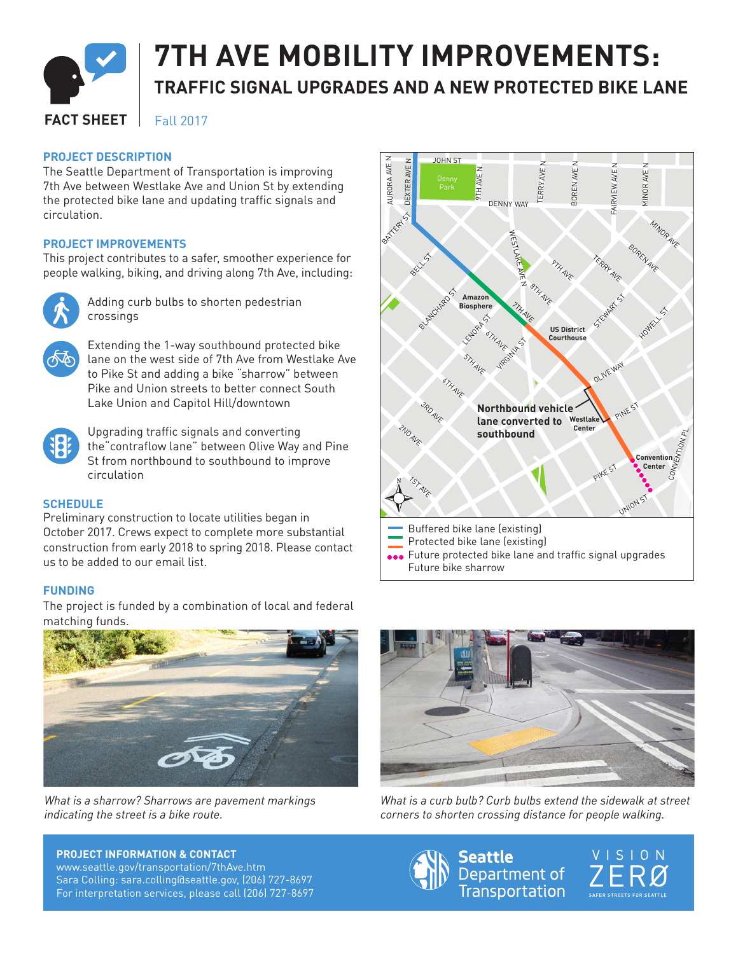

# **7TH AVE MOBILITY IMPROVEMENTS: TRAFFIC SIGNAL UPGRADES AND A NEW PROTECTED BIKE LANE**

#### **FACT SHEET** Fall 2017

#### **PROJECT DESCRIPTION**

The Seattle Department of Transportation is improving 7th Ave between Westlake Ave and Union St by extending the protected bike lane and updating traffic signals and circulation.

#### **PROJECT IMPROVEMENTS**

This project contributes to a safer, smoother experience for people walking, biking, and driving along 7th Ave, including:



Adding curb bulbs to shorten pedestrian crossings



Extending the 1-way southbound protected bike lane on the west side of 7th Ave from Westlake Ave to Pike St and adding a bike "sharrow" between Pike and Union streets to better connect South Lake Union and Capitol Hill/downtown



Upgrading traffic signals and converting the"contraflow lane" between Olive Way and Pine St from northbound to southbound to improve circulation

### **SCHEDULE**

Preliminary construction to locate utilities began in October 2017. Crews expect to complete more substantial construction from early 2018 to spring 2018. Please contact us to be added to our email list.

### **FUNDING**

The project is funded by a combination of local and federal matching funds.



*What is a sharrow? Sharrows are pavement markings indicating the street is a bike route.*

### **PROJECT INFORMATION & CONTACT**

www.seattle.gov/transportation/7thAve.htm Sara Colling: sara.colling@seattle.gov, (206) 727-8697 For interpretation services, please call (206) 727-8697





*What is a curb bulb? Curb bulbs extend the sidewalk at street corners to shorten crossing distance for people walking.*



VISION